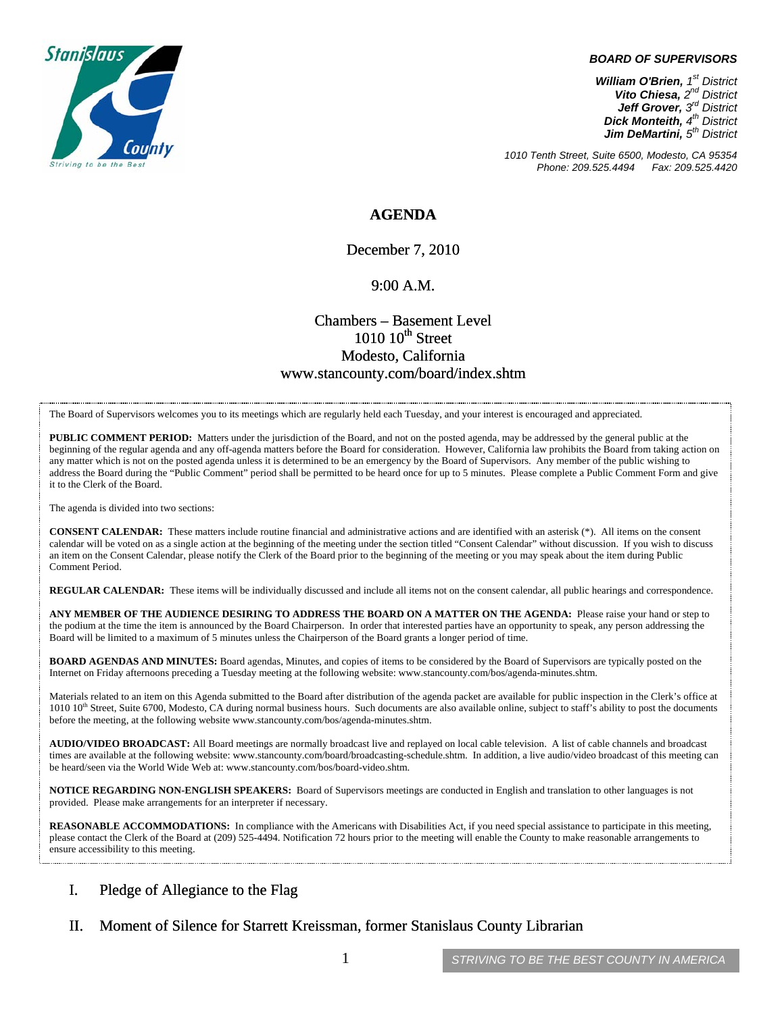

#### *BOARD OF SUPERVISORS*

*William O'Brien, 1st District Vito Chiesa, 2nd District Jeff Grover, 3rd District Dick Monteith, 4th District Jim DeMartini, 5th District*

*1010 Tenth Street, Suite 6500, Modesto, CA 95354 Phone: 209.525.4494 Fax: 209.525.4420* 

### **AGENDA**

December 7, 2010

#### 9:00 A.M.

## Chambers – Basement Level  $1010~10$ <sup>th</sup> Street Modesto, California www.stancounty.com/board/index.shtm

The Board of Supervisors welcomes you to its meetings which are regularly held each Tuesday, and your interest is encouraged and appreciated.

**PUBLIC COMMENT PERIOD:** Matters under the jurisdiction of the Board, and not on the posted agenda, may be addressed by the general public at the beginning of the regular agenda and any off-agenda matters before the Board for consideration. However, California law prohibits the Board from taking action on any matter which is not on the posted agenda unless it is determined to be an emergency by the Board of Supervisors. Any member of the public wishing to address the Board during the "Public Comment" period shall be permitted to be heard once for up to 5 minutes. Please complete a Public Comment Form and give it to the Clerk of the Board.

The agenda is divided into two sections:

**CONSENT CALENDAR:** These matters include routine financial and administrative actions and are identified with an asterisk (\*). All items on the consent calendar will be voted on as a single action at the beginning of the meeting under the section titled "Consent Calendar" without discussion. If you wish to discuss an item on the Consent Calendar, please notify the Clerk of the Board prior to the beginning of the meeting or you may speak about the item during Public Comment Period.

**REGULAR CALENDAR:** These items will be individually discussed and include all items not on the consent calendar, all public hearings and correspondence.

**ANY MEMBER OF THE AUDIENCE DESIRING TO ADDRESS THE BOARD ON A MATTER ON THE AGENDA:** Please raise your hand or step to the podium at the time the item is announced by the Board Chairperson. In order that interested parties have an opportunity to speak, any person addressing the Board will be limited to a maximum of 5 minutes unless the Chairperson of the Board grants a longer period of time.

**BOARD AGENDAS AND MINUTES:** Board agendas, Minutes, and copies of items to be considered by the Board of Supervisors are typically posted on the Internet on Friday afternoons preceding a Tuesday meeting at the following website: www.stancounty.com/bos/agenda-minutes.shtm.

Materials related to an item on this Agenda submitted to the Board after distribution of the agenda packet are available for public inspection in the Clerk's office at 1010 10<sup>th</sup> Street, Suite 6700, Modesto, CA during normal business hours. Such documents are also available online, subject to staff's ability to post the documents before the meeting, at the following website www.stancounty.com/bos/agenda-minutes.shtm.

**AUDIO/VIDEO BROADCAST:** All Board meetings are normally broadcast live and replayed on local cable television. A list of cable channels and broadcast times are available at the following website: www.stancounty.com/board/broadcasting-schedule.shtm. In addition, a live audio/video broadcast of this meeting can be heard/seen via the World Wide Web at: www.stancounty.com/bos/board-video.shtm.

**NOTICE REGARDING NON-ENGLISH SPEAKERS:** Board of Supervisors meetings are conducted in English and translation to other languages is not provided. Please make arrangements for an interpreter if necessary.

**REASONABLE ACCOMMODATIONS:** In compliance with the Americans with Disabilities Act, if you need special assistance to participate in this meeting, please contact the Clerk of the Board at (209) 525-4494. Notification 72 hours prior to the meeting will enable the County to make reasonable arrangements to ensure accessibility to this meeting.

### I. Pledge of Allegiance to the Flag

II. Moment of Silence for Starrett Kreissman, former Stanislaus County Librarian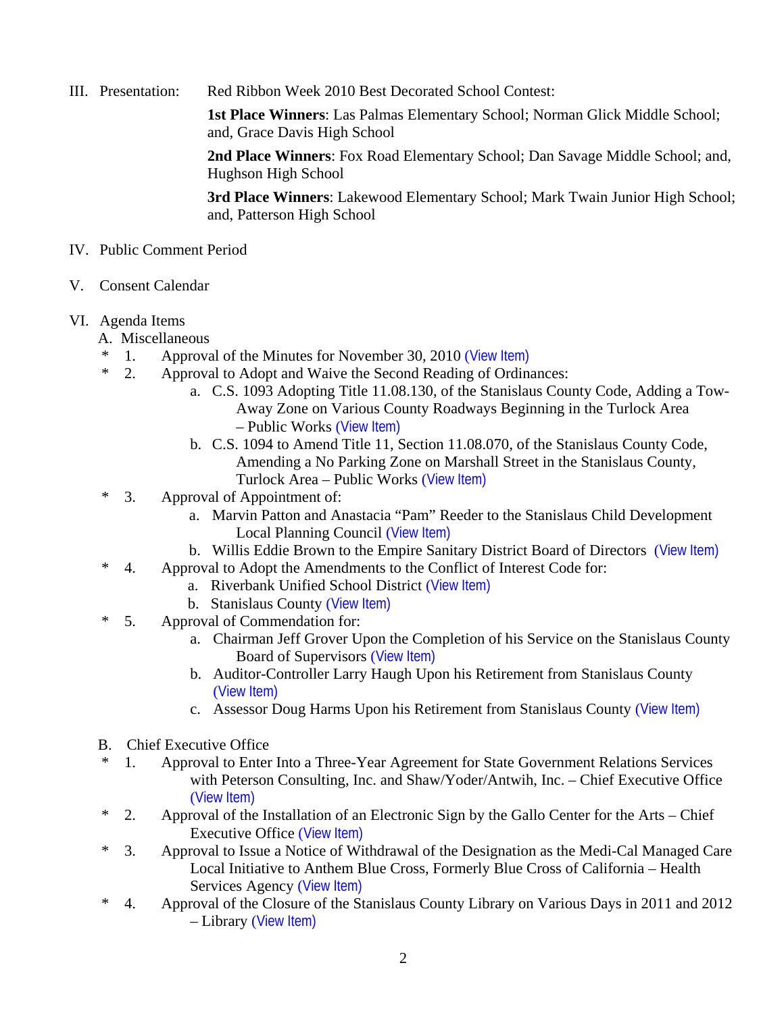III. Presentation: Red Ribbon Week 2010 Best Decorated School Contest:

**1st Place Winners**: Las Palmas Elementary School; Norman Glick Middle School; and, Grace Davis High School

**2nd Place Winners**: Fox Road Elementary School; Dan Savage Middle School; and, Hughson High School

**3rd Place Winners**: Lakewood Elementary School; Mark Twain Junior High School; and, Patterson High School

- IV. Public Comment Period
- V. Consent Calendar

## VI. Agenda Items

- A. Miscellaneous
- \* 1. Approval of the Minutes for November 30, 2010 ([View Item\)](http://www.stancounty.com/bos/minutes/2010/min11-30-10.pdf)
- \* 2. Approval to Adopt and Waive the Second Reading of Ordinances:
	- a. C.S. 1093 Adopting Title 11.08.130, of the Stanislaus County Code, Adding a Tow-Away Zone on Various County Roadways Beginning in the Turlock Area – Public Works ([View Item\)](http://www.stancounty.com/bos/agenda/2010/20101207/A02a.pdf)
	- b. C.S. 1094 to Amend Title 11, Section 11.08.070, of the Stanislaus County Code, Amending a No Parking Zone on Marshall Street in the Stanislaus County, Turlock Area – Public Works ([View Item\)](http://www.stancounty.com/bos/agenda/2010/20101207/A02b.pdf)
- \* 3. Approval of Appointment of:
	- a. Marvin Patton and Anastacia "Pam" Reeder to the Stanislaus Child Development Local Planning Council ([View Item\)](http://www.stancounty.com/bos/agenda/2010/20101207/A03a.pdf)
	- b. Willis Eddie Brown to the Empire Sanitary District Board of Directors ([View Item\)](http://www.stancounty.com/bos/agenda/2010/20101207/A03b.pdf)
- \* 4. Approval to Adopt the Amendments to the Conflict of Interest Code for:
	- a. Riverbank Unified School District ([View Item\)](http://www.stancounty.com/bos/agenda/2010/20101207/A04a.pdf)
		- b. Stanislaus County ([View Item\)](http://www.stancounty.com/bos/agenda/2010/20101207/A04b.pdf)
- \* 5. Approval of Commendation for:
	- a. Chairman Jeff Grover Upon the Completion of his Service on the Stanislaus County Board of Supervisors ([View Item\)](http://www.stancounty.com/bos/agenda/2010/20101207/A05a.pdf)
	- b. Auditor-Controller Larry Haugh Upon his Retirement from Stanislaus County ([View Item\)](http://www.stancounty.com/bos/agenda/2010/20101207/A05b.pdf)
	- c. Assessor Doug Harms Upon his Retirement from Stanislaus County ([View Item\)](http://www.stancounty.com/bos/agenda/2010/20101207/A05c.pdf)
- B. Chief Executive Office
- \* 1. Approval to Enter Into a Three-Year Agreement for State Government Relations Services with Peterson Consulting, Inc. and Shaw/Yoder/Antwih, Inc. – Chief Executive Office ([View Item\)](http://www.stancounty.com/bos/agenda/2010/20101207/B01.pdf)
- \* 2. Approval of the Installation of an Electronic Sign by the Gallo Center for the Arts Chief Executive Office ([View Item\)](http://www.stancounty.com/bos/agenda/2010/20101207/B02.pdf)
- \* 3. Approval to Issue a Notice of Withdrawal of the Designation as the Medi-Cal Managed Care Local Initiative to Anthem Blue Cross, Formerly Blue Cross of California – Health Services Agency ([View Item\)](http://www.stancounty.com/bos/agenda/2010/20101207/B03.pdf)
- \* 4. Approval of the Closure of the Stanislaus County Library on Various Days in 2011 and 2012 – Library ([View Item\)](http://www.stancounty.com/bos/agenda/2010/20101207/B04.pdf)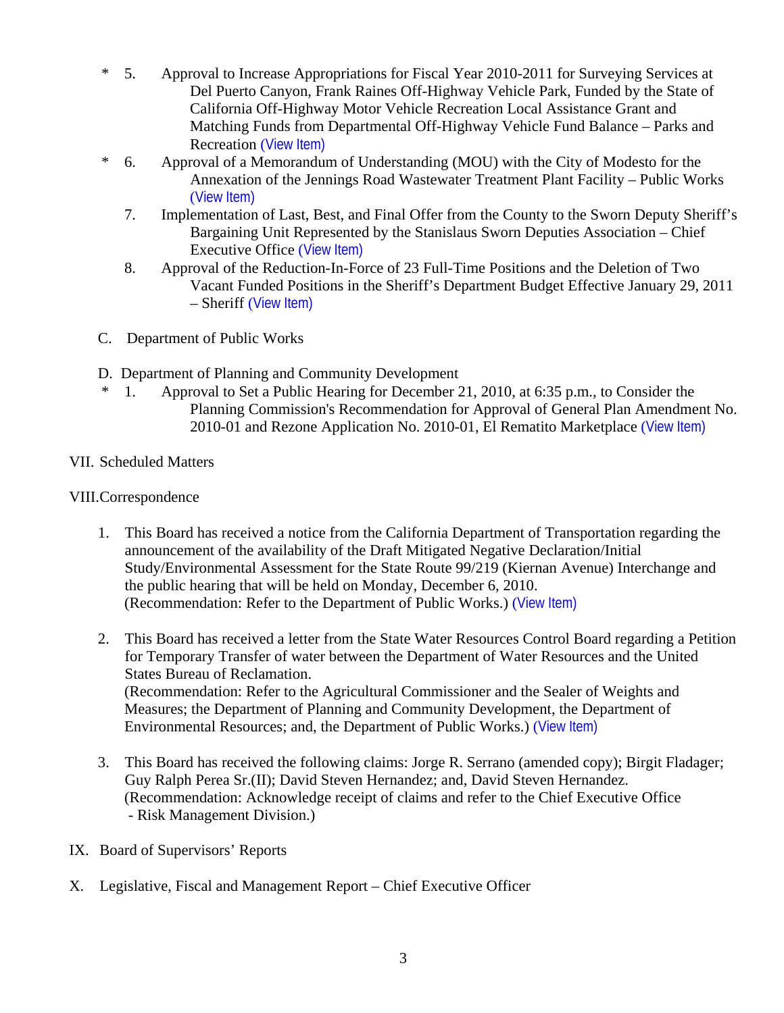- \* 5. Approval to Increase Appropriations for Fiscal Year 2010-2011 for Surveying Services at Del Puerto Canyon, Frank Raines Off-Highway Vehicle Park, Funded by the State of California Off-Highway Motor Vehicle Recreation Local Assistance Grant and Matching Funds from Departmental Off-Highway Vehicle Fund Balance – Parks and Recreation ([View Item\)](http://www.stancounty.com/bos/agenda/2010/20101207/B05.pdf)
- \* 6. Approval of a Memorandum of Understanding (MOU) with the City of Modesto for the Annexation of the Jennings Road Wastewater Treatment Plant Facility – Public Works ([View Item\)](http://www.stancounty.com/bos/agenda/2010/20101207/B06.pdf)
	- 7. Implementation of Last, Best, and Final Offer from the County to the Sworn Deputy Sheriff's Bargaining Unit Represented by the Stanislaus Sworn Deputies Association – Chief Executive Office ([View Item\)](http://www.stancounty.com/bos/agenda/2010/20101207/B07.pdf)
	- 8. Approval of the Reduction-In-Force of 23 Full-Time Positions and the Deletion of Two Vacant Funded Positions in the Sheriff's Department Budget Effective January 29, 2011 – Sheriff ([View Item\)](http://www.stancounty.com/bos/agenda/2010/20101207/B08.pdf)
- C. Department of Public Works
- D. Department of Planning and Community Development
	- 1. Approval to Set a Public Hearing for December 21, 2010, at 6:35 p.m., to Consider the Planning Commission's Recommendation for Approval of General Plan Amendment No. 2010-01 and Rezone Application No. 2010-01, El Rematito Marketplace ([View Item\)](http://www.stancounty.com/bos/agenda/2010/20101207/D01.pdf)

# VII. Scheduled Matters

# VIII.Correspondence

- 1. This Board has received a notice from the California Department of Transportation regarding the announcement of the availability of the Draft Mitigated Negative Declaration/Initial Study/Environmental Assessment for the State Route 99/219 (Kiernan Avenue) Interchange and the public hearing that will be held on Monday, December 6, 2010. (Recommendation: Refer to the Department of Public Works.) ([View Item\)](http://www.stancounty.com/bos/agenda/2010/20101207/Corr01.pdf)
- 2. This Board has received a letter from the State Water Resources Control Board regarding a Petition for Temporary Transfer of water between the Department of Water Resources and the United States Bureau of Reclamation. (Recommendation: Refer to the Agricultural Commissioner and the Sealer of Weights and Measures; the Department of Planning and Community Development, the Department of Environmental Resources; and, the Department of Public Works.) ([View Item\)](http://www.stancounty.com/bos/agenda/2010/20101207/Corr02.pdf)
- 3. This Board has received the following claims: Jorge R. Serrano (amended copy); Birgit Fladager; Guy Ralph Perea Sr.(II); David Steven Hernandez; and, David Steven Hernandez. (Recommendation: Acknowledge receipt of claims and refer to the Chief Executive Office - Risk Management Division.)
- IX. Board of Supervisors' Reports
- X. Legislative, Fiscal and Management Report Chief Executive Officer